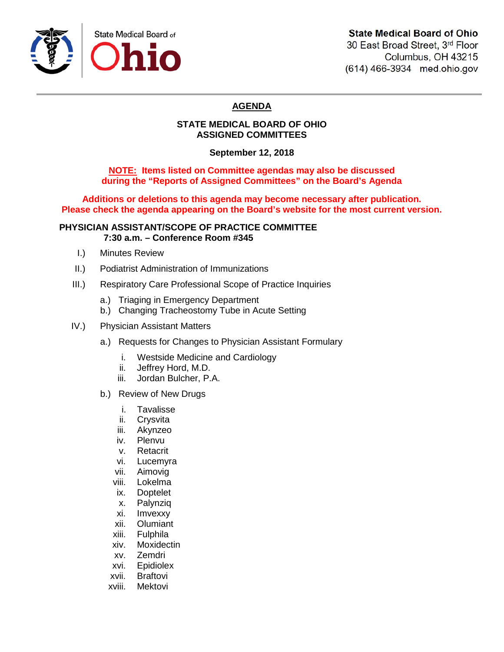

# **State Medical Board of Ohio**

30 East Broad Street, 3rd Floor Columbus, OH 43215 (614) 466-3934 med.ohio.gov

# **AGENDA**

## **STATE MEDICAL BOARD OF OHIO ASSIGNED COMMITTEES**

**September 12, 2018**

**NOTE: Items listed on Committee agendas may also be discussed during the "Reports of Assigned Committees" on the Board's Agenda**

**Additions or deletions to this agenda may become necessary after publication. Please check the agenda appearing on the Board's website for the most current version.**

### **PHYSICIAN ASSISTANT/SCOPE OF PRACTICE COMMITTEE 7:30 a.m. – Conference Room #345**

- I.) Minutes Review
- II.) Podiatrist Administration of Immunizations
- III.) Respiratory Care Professional Scope of Practice Inquiries
	- a.) Triaging in Emergency Department
	- b.) Changing Tracheostomy Tube in Acute Setting
- IV.) Physician Assistant Matters
	- a.) Requests for Changes to Physician Assistant Formulary
		- i. Westside Medicine and Cardiology
		- ii. Jeffrey Hord, M.D.
		- iii. Jordan Bulcher, P.A.
	- b.) Review of New Drugs
		- i. Tavalisse
		- ii. Crysvita
		- iii. Akynzeo
		- iv. Plenvu
		- v. Retacrit
		- vi. Lucemyra
		- vii. Aimovig
		- viii. Lokelma
		- ix. Doptelet
		- x. Palynziq
		- xi. Imvexxy
		-
		- xii. Olumiant<br>xiii. Fulphila
		- Fulphila
		- xiv. Moxidectin
		- xv. Zemdri
		- xvi. Epidiolex
		- xvii. Braftovi
		- xviii. Mektovi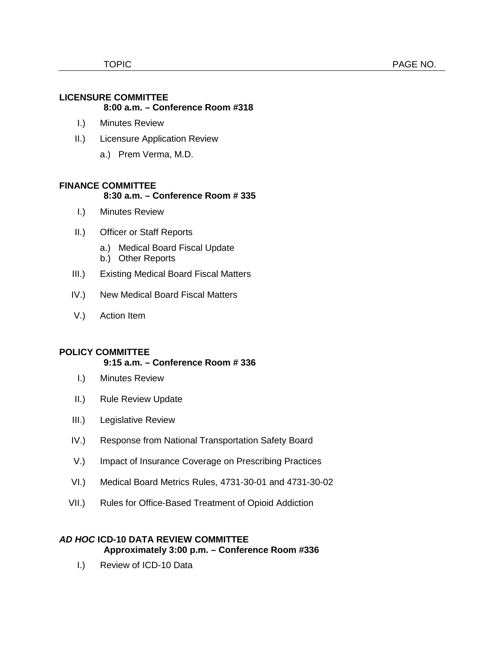## **LICENSURE COMMITTEE 8:00 a.m. – Conference Room #318**

- I.) Minutes Review
- II.) Licensure Application Review
	- a.) Prem Verma, M.D.

# **FINANCE COMMITTEE**

### **8:30 a.m. – Conference Room # 335**

- I.) Minutes Review
- II.) Officer or Staff Reports
	- a.) Medical Board Fiscal Update
	- b.) Other Reports
- III.) Existing Medical Board Fiscal Matters
- IV.) New Medical Board Fiscal Matters
- V.) Action Item

## **POLICY COMMITTEE**

### **9:15 a.m. – Conference Room # 336**

- I.) Minutes Review
- II.) Rule Review Update
- III.) Legislative Review
- IV.) Response from National Transportation Safety Board
- V.) Impact of Insurance Coverage on Prescribing Practices
- VI.) Medical Board Metrics Rules, 4731-30-01 and 4731-30-02
- VII.) Rules for Office-Based Treatment of Opioid Addiction

### *AD HOC* **ICD-10 DATA REVIEW COMMITTEE Approximately 3:00 p.m. – Conference Room #336**

I.) Review of ICD-10 Data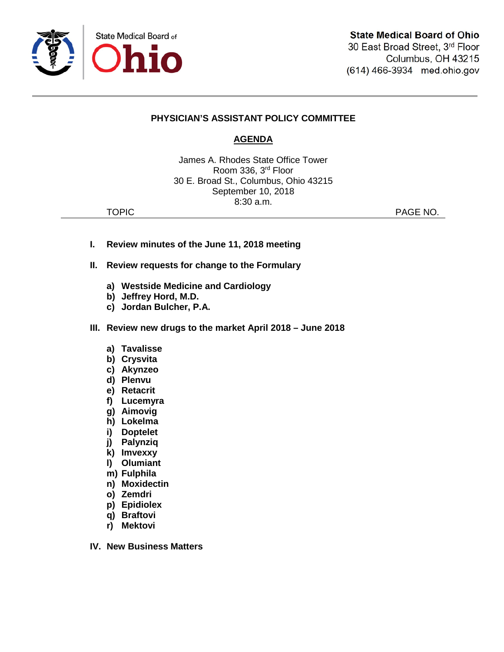

# **PHYSICIAN'S ASSISTANT POLICY COMMITTEE**

# **AGENDA**

James A. Rhodes State Office Tower Room 336, 3rd Floor 30 E. Broad St., Columbus, Ohio 43215 September 10, 2018 8:30 a.m.

TOPIC **PAGE NO.** 

- **I. Review minutes of the June 11, 2018 meeting**
- **II. Review requests for change to the Formulary**
	- **a) Westside Medicine and Cardiology**
	- **b) Jeffrey Hord, M.D.**
	- **c) Jordan Bulcher, P.A.**
- **III. Review new drugs to the market April 2018 – June 2018**
	- **a) Tavalisse**
	- **b) Crysvita**
	- **c) Akynzeo**
	- **d) Plenvu**
	- **e) Retacrit**
	- **f) Lucemyra**
	- **g) Aimovig**
	- **h) Lokelma**
	- **i) Doptelet**
	- **j) Palynziq**
	- **k) Imvexxy**
	- **l) Olumiant**
	- **m) Fulphila**
	- **n) Moxidectin**
	- **o) Zemdri**
	- **p) Epidiolex**
	- **q) Braftovi**
	- **r) Mektovi**
- **IV. New Business Matters**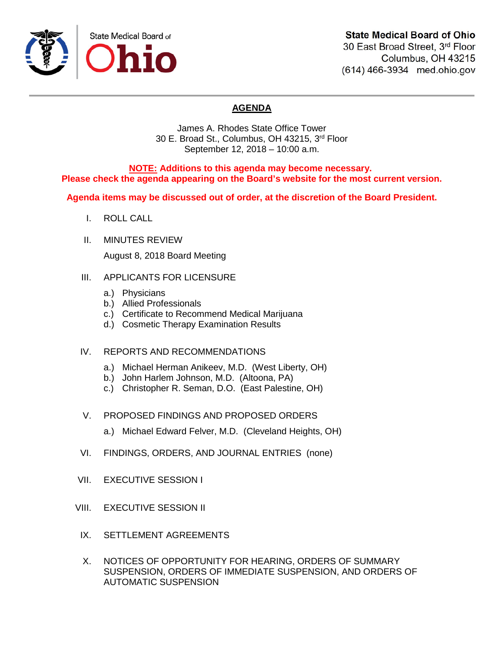

# **State Medical Board of Ohio**

30 East Broad Street, 3rd Floor Columbus, OH 43215 (614) 466-3934 med.ohio.gov

# **AGENDA**

James A. Rhodes State Office Tower 30 E. Broad St., Columbus, OH 43215, 3rd Floor September 12, 2018 – 10:00 a.m.

**NOTE: Additions to this agenda may become necessary. Please check the agenda appearing on the Board's website for the most current version.**

**Agenda items may be discussed out of order, at the discretion of the Board President.**

- I. ROLL CALL
- II. MINUTES REVIEW

August 8, 2018 Board Meeting

### III. APPLICANTS FOR LICENSURE

- a.) Physicians
- b.) Allied Professionals
- c.) Certificate to Recommend Medical Marijuana
- d.) Cosmetic Therapy Examination Results
- IV. REPORTS AND RECOMMENDATIONS
	- a.) Michael Herman Anikeev, M.D. (West Liberty, OH)
	- b.) John Harlem Johnson, M.D. (Altoona, PA)
	- c.) Christopher R. Seman, D.O. (East Palestine, OH)
- V. PROPOSED FINDINGS AND PROPOSED ORDERS
	- a.) Michael Edward Felver, M.D. (Cleveland Heights, OH)
- VI. FINDINGS, ORDERS, AND JOURNAL ENTRIES (none)
- VII. EXECUTIVE SESSION I
- VIII. EXECUTIVE SESSION II
- IX. SETTLEMENT AGREEMENTS
- X. NOTICES OF OPPORTUNITY FOR HEARING, ORDERS OF SUMMARY SUSPENSION, ORDERS OF IMMEDIATE SUSPENSION, AND ORDERS OF AUTOMATIC SUSPENSION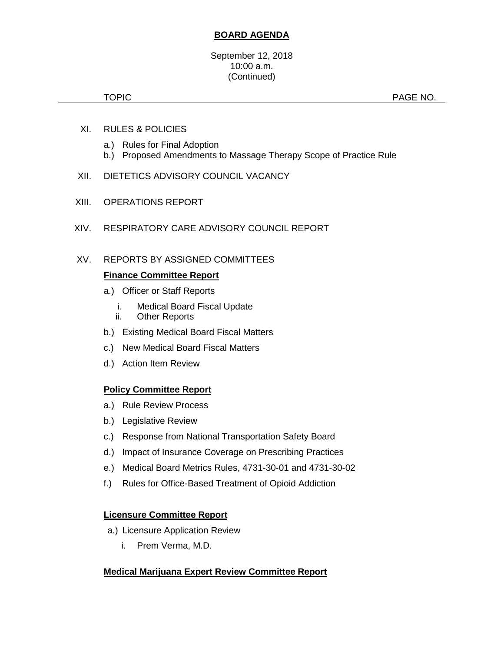# **BOARD AGENDA**

#### September 12, 2018 10:00 a.m. (Continued)

TOPIC **PAGE NO.** 

- XI. RULES & POLICIES
	- a.) Rules for Final Adoption
	- b.) Proposed Amendments to Massage Therapy Scope of Practice Rule
- XII. DIETETICS ADVISORY COUNCIL VACANCY
- XIII. OPERATIONS REPORT
- XIV. RESPIRATORY CARE ADVISORY COUNCIL REPORT
- XV. REPORTS BY ASSIGNED COMMITTEES

# **Finance Committee Report**

- a.) Officer or Staff Reports
	- i. Medical Board Fiscal Update
	- ii. Other Reports
- b.) Existing Medical Board Fiscal Matters
- c.) New Medical Board Fiscal Matters
- d.) Action Item Review

# **Policy Committee Report**

- a.) Rule Review Process
- b.) Legislative Review
- c.) Response from National Transportation Safety Board
- d.) Impact of Insurance Coverage on Prescribing Practices
- e.) Medical Board Metrics Rules, 4731-30-01 and 4731-30-02
- f.) Rules for Office-Based Treatment of Opioid Addiction

## **Licensure Committee Report**

- a.) Licensure Application Review
	- i. Prem Verma, M.D.

## **Medical Marijuana Expert Review Committee Report**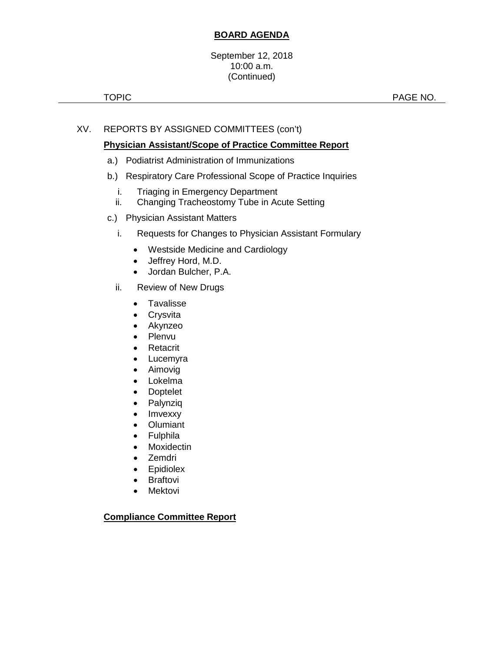# **BOARD AGENDA**

September 12, 2018 10:00 a.m. (Continued)

TOPIC **PAGE NO.** 

# XV. REPORTS BY ASSIGNED COMMITTEES (con't)

## **Physician Assistant/Scope of Practice Committee Report**

- a.) Podiatrist Administration of Immunizations
- b.) Respiratory Care Professional Scope of Practice Inquiries
	- i. Triaging in Emergency Department
	- ii. Changing Tracheostomy Tube in Acute Setting
- c.) Physician Assistant Matters
	- i. Requests for Changes to Physician Assistant Formulary
		- Westside Medicine and Cardiology
		- Jeffrey Hord, M.D.
		- Jordan Bulcher, P.A.
	- ii. Review of New Drugs
		- Tavalisse
		- Crysvita
		- Akynzeo
		- Plenvu
		- **Retacrit**
		- Lucemyra
		- Aimovig
		- Lokelma
		- Doptelet
		- Palynziq
		- Imvexxy
		- Olumiant
		- Fulphila
		- Moxidectin
		- Zemdri
		- **Epidiolex**
		- Braftovi
		- Mektovi

#### **Compliance Committee Report**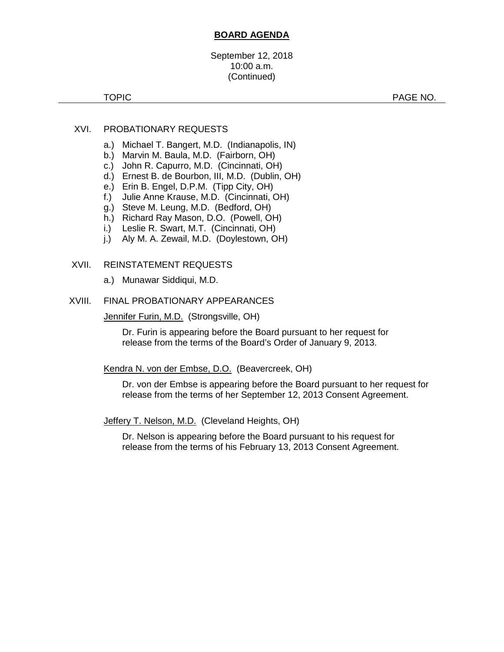### **BOARD AGENDA**

September 12, 2018 10:00 a.m. (Continued)

TOPIC **PAGE NO.** 

### XVI. PROBATIONARY REQUESTS

- a.) Michael T. Bangert, M.D. (Indianapolis, IN)
- b.) Marvin M. Baula, M.D. (Fairborn, OH)
- c.) John R. Capurro, M.D. (Cincinnati, OH)
- d.) Ernest B. de Bourbon, III, M.D. (Dublin, OH)
- e.) Erin B. Engel, D.P.M. (Tipp City, OH)
- f.) Julie Anne Krause, M.D. (Cincinnati, OH)
- g.) Steve M. Leung, M.D. (Bedford, OH)
- h.) Richard Ray Mason, D.O. (Powell, OH)
- i.) Leslie R. Swart, M.T. (Cincinnati, OH)
- j.) Aly M. A. Zewail, M.D. (Doylestown, OH)

#### XVII. REINSTATEMENT REQUESTS

a.) Munawar Siddiqui, M.D.

#### XVIII. FINAL PROBATIONARY APPEARANCES

Jennifer Furin, M.D. (Strongsville, OH)

Dr. Furin is appearing before the Board pursuant to her request for release from the terms of the Board's Order of January 9, 2013.

#### Kendra N. von der Embse, D.O. (Beavercreek, OH)

Dr. von der Embse is appearing before the Board pursuant to her request for release from the terms of her September 12, 2013 Consent Agreement.

Jeffery T. Nelson, M.D. (Cleveland Heights, OH)

Dr. Nelson is appearing before the Board pursuant to his request for release from the terms of his February 13, 2013 Consent Agreement.